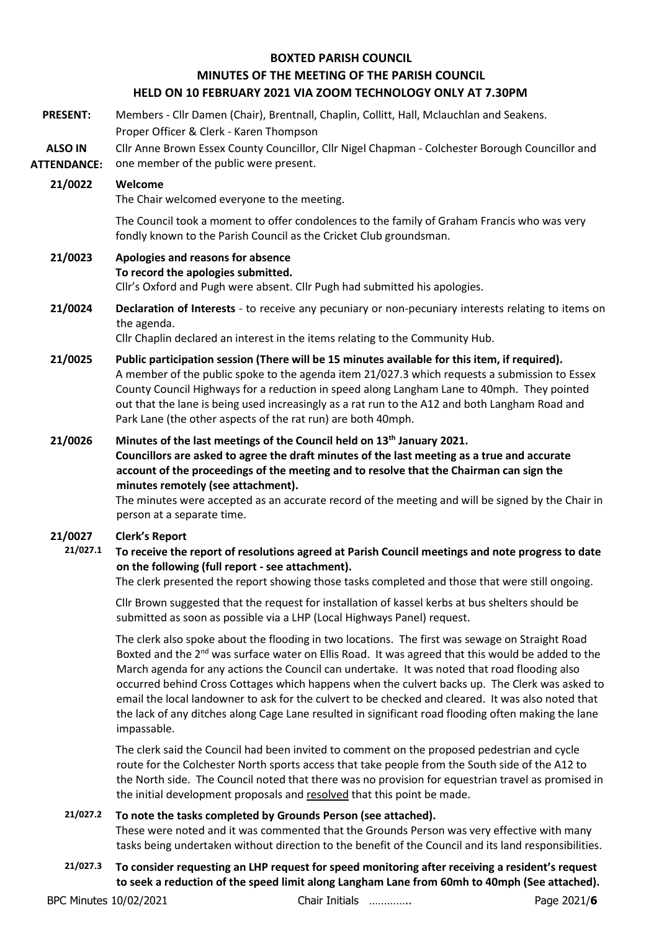#### **BOXTED PARISH COUNCIL**

# **MINUTES OF THE MEETING OF THE PARISH COUNCIL**

## **HELD ON 10 FEBRUARY 2021 VIA ZOOM TECHNOLOGY ONLY AT 7.30PM**

**PRESENT:** Members - Cllr Damen (Chair), Brentnall, Chaplin, Collitt, Hall, Mclauchlan and Seakens. Proper Officer & Clerk - Karen Thompson

**ALSO IN ATTENDANCE:** Cllr Anne Brown Essex County Councillor, Cllr Nigel Chapman - Colchester Borough Councillor and one member of the public were present.

#### **21/0022 Welcome**

The Chair welcomed everyone to the meeting.

The Council took a moment to offer condolences to the family of Graham Francis who was very fondly known to the Parish Council as the Cricket Club groundsman.

# **21/0023 Apologies and reasons for absence**

#### **To record the apologies submitted.**

Cllr's Oxford and Pugh were absent. Cllr Pugh had submitted his apologies.

**21/0024 Declaration of Interests** - to receive any pecuniary or non-pecuniary interests relating to items on the agenda.

Cllr Chaplin declared an interest in the items relating to the Community Hub.

**21/0025 Public participation session (There will be 15 minutes available for this item, if required).** A member of the public spoke to the agenda item 21/027.3 which requests a submission to Essex County Council Highways for a reduction in speed along Langham Lane to 40mph. They pointed out that the lane is being used increasingly as a rat run to the A12 and both Langham Road and Park Lane (the other aspects of the rat run) are both 40mph.

# **21/0026 Minutes of the last meetings of the Council held on 13th January 2021. Councillors are asked to agree the draft minutes of the last meeting as a true and accurate account of the proceedings of the meeting and to resolve that the Chairman can sign the minutes remotely (see attachment).**

The minutes were accepted as an accurate record of the meeting and will be signed by the Chair in person at a separate time.

## **21/0027 Clerk's Report**

## **21/027.1 To receive the report of resolutions agreed at Parish Council meetings and note progress to date on the following (full report - see attachment).**

The clerk presented the report showing those tasks completed and those that were still ongoing.

Cllr Brown suggested that the request for installation of kassel kerbs at bus shelters should be submitted as soon as possible via a LHP (Local Highways Panel) request.

The clerk also spoke about the flooding in two locations. The first was sewage on Straight Road Boxted and the  $2^{nd}$  was surface water on Ellis Road. It was agreed that this would be added to the March agenda for any actions the Council can undertake. It was noted that road flooding also occurred behind Cross Cottages which happens when the culvert backs up. The Clerk was asked to email the local landowner to ask for the culvert to be checked and cleared. It was also noted that the lack of any ditches along Cage Lane resulted in significant road flooding often making the lane impassable.

The clerk said the Council had been invited to comment on the proposed pedestrian and cycle route for the Colchester North sports access that take people from the South side of the A12 to the North side. The Council noted that there was no provision for equestrian travel as promised in the initial development proposals and resolved that this point be made.

## **21/027.2 To note the tasks completed by Grounds Person (see attached).**

These were noted and it was commented that the Grounds Person was very effective with many tasks being undertaken without direction to the benefit of the Council and its land responsibilities.

**21/027.3 To consider requesting an LHP request for speed monitoring after receiving a resident's request to seek a reduction of the speed limit along Langham Lane from 60mh to 40mph (See attached).**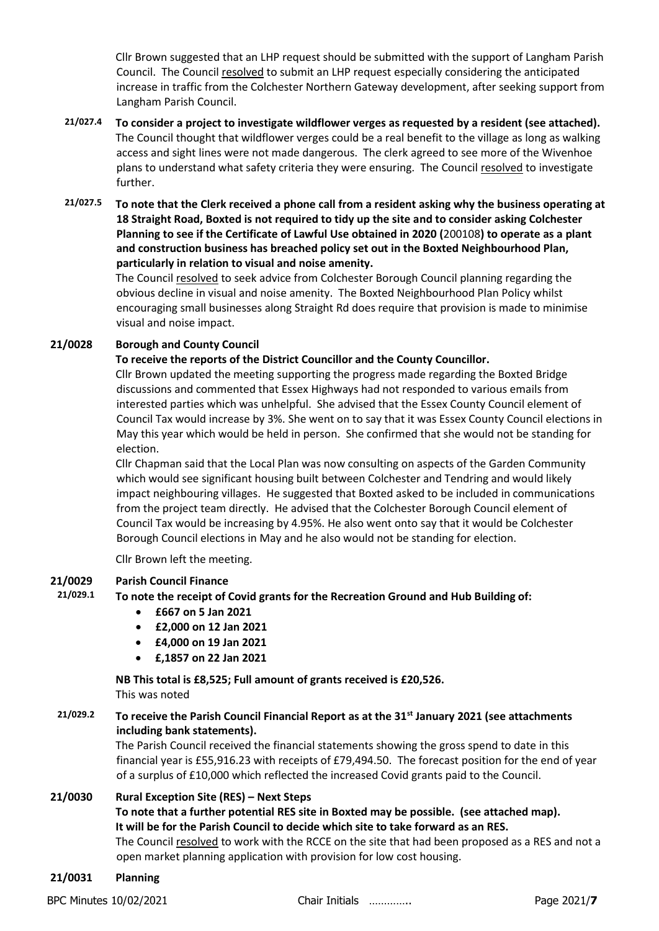Cllr Brown suggested that an LHP request should be submitted with the support of Langham Parish Council. The Council resolved to submit an LHP request especially considering the anticipated increase in traffic from the Colchester Northern Gateway development, after seeking support from Langham Parish Council.

- **21/027.4 To consider a project to investigate wildflower verges as requested by a resident (see attached).** The Council thought that wildflower verges could be a real benefit to the village as long as walking access and sight lines were not made dangerous. The clerk agreed to see more of the Wivenhoe plans to understand what safety criteria they were ensuring. The Council resolved to investigate further.
- **21/027.5 To note that the Clerk received a phone call from a resident asking why the business operating at 18 Straight Road, Boxted is not required to tidy up the site and to consider asking Colchester Planning to see if the Certificate of Lawful Use obtained in 2020 (**[200108](https://www.colchester.gov.uk/planning-app-details/?id=f01d14eb-a23b-ea11-a812-000d3ab297a5)**) to operate as a plant and construction business has breached policy set out in the Boxted Neighbourhood Plan, particularly in relation to visual and noise amenity.**

The Council resolved to seek advice from Colchester Borough Council planning regarding the obvious decline in visual and noise amenity. The Boxted Neighbourhood Plan Policy whilst encouraging small businesses along Straight Rd does require that provision is made to minimise visual and noise impact.

## **21/0028 Borough and County Council**

## **To receive the reports of the District Councillor and the County Councillor.**

Cllr Brown updated the meeting supporting the progress made regarding the Boxted Bridge discussions and commented that Essex Highways had not responded to various emails from interested parties which was unhelpful. She advised that the Essex County Council element of Council Tax would increase by 3%. She went on to say that it was Essex County Council elections in May this year which would be held in person. She confirmed that she would not be standing for election.

Cllr Chapman said that the Local Plan was now consulting on aspects of the Garden Community which would see significant housing built between Colchester and Tendring and would likely impact neighbouring villages. He suggested that Boxted asked to be included in communications from the project team directly. He advised that the Colchester Borough Council element of Council Tax would be increasing by 4.95%. He also went onto say that it would be Colchester Borough Council elections in May and he also would not be standing for election.

Cllr Brown left the meeting.

## **21/0029 Parish Council Finance**

**21/029.1 To note the receipt of Covid grants for the Recreation Ground and Hub Building of:**

- **£667 on 5 Jan 2021**
- **£2,000 on 12 Jan 2021**
- **£4,000 on 19 Jan 2021**
- **£,1857 on 22 Jan 2021**

**NB This total is £8,525; Full amount of grants received is £20,526.**

This was noted

# **21/029.2 To receive the Parish Council Financial Report as at the 31st January 2021 (see attachments including bank statements).**

The Parish Council received the financial statements showing the gross spend to date in this financial year is £55,916.23 with receipts of £79,494.50. The forecast position for the end of year of a surplus of £10,000 which reflected the increased Covid grants paid to the Council.

## **21/0030 Rural Exception Site (RES) – Next Steps**

## **To note that a further potential RES site in Boxted may be possible. (see attached map). It will be for the Parish Council to decide which site to take forward as an RES.**

The Council resolved to work with the RCCE on the site that had been proposed as a RES and not a open market planning application with provision for low cost housing.

**21/0031 Planning**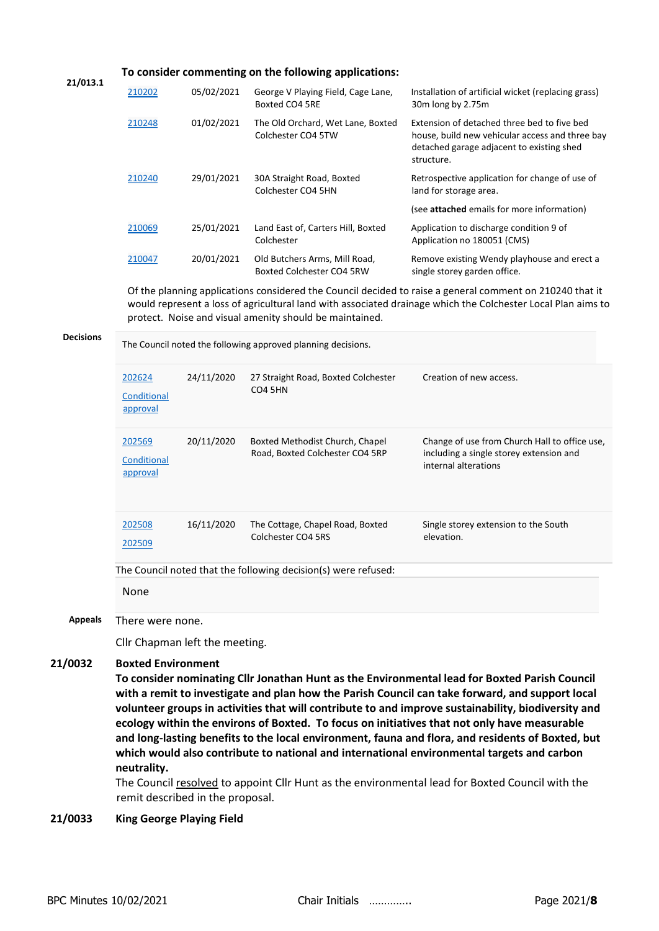| 21/013.1         | To consider commenting on the following applications:                                                                                                                                                                                                                                                                                                                                                                                                                                                                                                                                                                                                                                                                                                     |            |                                                                    |                                                                                                                                                           |
|------------------|-----------------------------------------------------------------------------------------------------------------------------------------------------------------------------------------------------------------------------------------------------------------------------------------------------------------------------------------------------------------------------------------------------------------------------------------------------------------------------------------------------------------------------------------------------------------------------------------------------------------------------------------------------------------------------------------------------------------------------------------------------------|------------|--------------------------------------------------------------------|-----------------------------------------------------------------------------------------------------------------------------------------------------------|
|                  | 210202                                                                                                                                                                                                                                                                                                                                                                                                                                                                                                                                                                                                                                                                                                                                                    | 05/02/2021 | George V Playing Field, Cage Lane,<br>Boxted CO4 5RE               | Installation of artificial wicket (replacing grass)<br>30m long by 2.75m                                                                                  |
|                  | 210248                                                                                                                                                                                                                                                                                                                                                                                                                                                                                                                                                                                                                                                                                                                                                    | 01/02/2021 | The Old Orchard, Wet Lane, Boxted<br>Colchester CO4 5TW            | Extension of detached three bed to five bed<br>house, build new vehicular access and three bay<br>detached garage adjacent to existing shed<br>structure. |
|                  | 210240                                                                                                                                                                                                                                                                                                                                                                                                                                                                                                                                                                                                                                                                                                                                                    | 29/01/2021 | 30A Straight Road, Boxted<br>Colchester CO4 5HN                    | Retrospective application for change of use of<br>land for storage area.                                                                                  |
|                  |                                                                                                                                                                                                                                                                                                                                                                                                                                                                                                                                                                                                                                                                                                                                                           |            |                                                                    | (see attached emails for more information)                                                                                                                |
|                  | 210069                                                                                                                                                                                                                                                                                                                                                                                                                                                                                                                                                                                                                                                                                                                                                    | 25/01/2021 | Land East of, Carters Hill, Boxted<br>Colchester                   | Application to discharge condition 9 of<br>Application no 180051 (CMS)                                                                                    |
|                  | 210047                                                                                                                                                                                                                                                                                                                                                                                                                                                                                                                                                                                                                                                                                                                                                    | 20/01/2021 | Old Butchers Arms, Mill Road,<br>Boxted Colchester CO4 5RW         | Remove existing Wendy playhouse and erect a<br>single storey garden office.                                                                               |
| <b>Decisions</b> | Of the planning applications considered the Council decided to raise a general comment on 210240 that it<br>would represent a loss of agricultural land with associated drainage which the Colchester Local Plan aims to<br>protect. Noise and visual amenity should be maintained.                                                                                                                                                                                                                                                                                                                                                                                                                                                                       |            |                                                                    |                                                                                                                                                           |
|                  | The Council noted the following approved planning decisions.                                                                                                                                                                                                                                                                                                                                                                                                                                                                                                                                                                                                                                                                                              |            |                                                                    |                                                                                                                                                           |
|                  | 202624<br>Conditional<br>approval                                                                                                                                                                                                                                                                                                                                                                                                                                                                                                                                                                                                                                                                                                                         | 24/11/2020 | 27 Straight Road, Boxted Colchester<br>CO <sub>4</sub> 5HN         | Creation of new access.                                                                                                                                   |
|                  | 202569<br>Conditional<br>approval                                                                                                                                                                                                                                                                                                                                                                                                                                                                                                                                                                                                                                                                                                                         | 20/11/2020 | Boxted Methodist Church, Chapel<br>Road, Boxted Colchester CO4 5RP | Change of use from Church Hall to office use,<br>including a single storey extension and<br>internal alterations                                          |
|                  | 202508<br>202509                                                                                                                                                                                                                                                                                                                                                                                                                                                                                                                                                                                                                                                                                                                                          | 16/11/2020 | The Cottage, Chapel Road, Boxted<br>Colchester CO4 5RS             | Single storey extension to the South<br>elevation.                                                                                                        |
|                  | The Council noted that the following decision(s) were refused:                                                                                                                                                                                                                                                                                                                                                                                                                                                                                                                                                                                                                                                                                            |            |                                                                    |                                                                                                                                                           |
|                  | None                                                                                                                                                                                                                                                                                                                                                                                                                                                                                                                                                                                                                                                                                                                                                      |            |                                                                    |                                                                                                                                                           |
| <b>Appeals</b>   | There were none.                                                                                                                                                                                                                                                                                                                                                                                                                                                                                                                                                                                                                                                                                                                                          |            |                                                                    |                                                                                                                                                           |
|                  | Cllr Chapman left the meeting.                                                                                                                                                                                                                                                                                                                                                                                                                                                                                                                                                                                                                                                                                                                            |            |                                                                    |                                                                                                                                                           |
| 21/0032          | <b>Boxted Environment</b><br>To consider nominating Cllr Jonathan Hunt as the Environmental lead for Boxted Parish Council<br>with a remit to investigate and plan how the Parish Council can take forward, and support local<br>volunteer groups in activities that will contribute to and improve sustainability, biodiversity and<br>ecology within the environs of Boxted. To focus on initiatives that not only have measurable<br>and long-lasting benefits to the local environment, fauna and flora, and residents of Boxted, but<br>which would also contribute to national and international environmental targets and carbon<br>neutrality.<br>The Council resolved to appoint Cllr Hunt as the environmental lead for Boxted Council with the |            |                                                                    |                                                                                                                                                           |
|                  | remit described in the proposal.                                                                                                                                                                                                                                                                                                                                                                                                                                                                                                                                                                                                                                                                                                                          |            |                                                                    |                                                                                                                                                           |

**21/0033 King George Playing Field**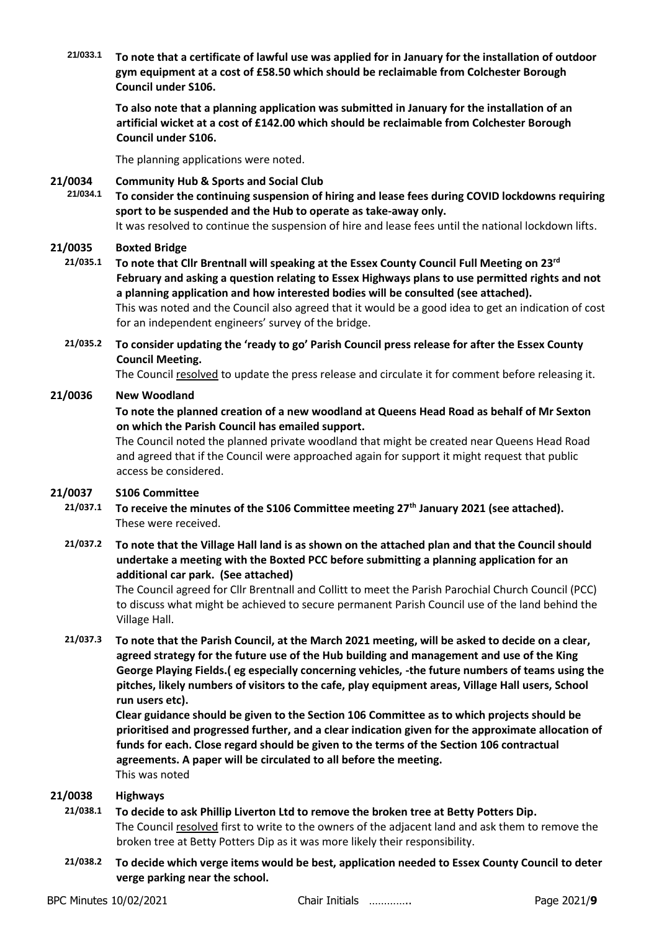**21/033.1 To note that a certificate of lawful use was applied for in January for the installation of outdoor gym equipment at a cost of £58.50 which should be reclaimable from Colchester Borough Council under S106.**

**To also note that a planning application was submitted in January for the installation of an artificial wicket at a cost of £142.00 which should be reclaimable from Colchester Borough Council under S106.**

The planning applications were noted.

# **21/0034 Community Hub & Sports and Social Club**

**21/034.1 To consider the continuing suspension of hiring and lease fees during COVID lockdowns requiring sport to be suspended and the Hub to operate as take-away only.** It was resolved to continue the suspension of hire and lease fees until the national lockdown lifts.

## **21/0035 Boxted Bridge**

- **21/035.1 To note that Cllr Brentnall will speaking at the Essex County Council Full Meeting on 23rd February and asking a question relating to Essex Highways plans to use permitted rights and not a planning application and how interested bodies will be consulted (see attached).** This was noted and the Council also agreed that it would be a good idea to get an indication of cost for an independent engineers' survey of the bridge.
	- **21/035.2 To consider updating the 'ready to go' Parish Council press release for after the Essex County Council Meeting.**

The Council resolved to update the press release and circulate it for comment before releasing it.

## **21/0036 New Woodland**

## **To note the planned creation of a new woodland at Queens Head Road as behalf of Mr Sexton on which the Parish Council has emailed support.**

The Council noted the planned private woodland that might be created near Queens Head Road and agreed that if the Council were approached again for support it might request that public access be considered.

#### **21/0037 S106 Committee**

- **21/037.1 To receive the minutes of the S106 Committee meeting 27th January 2021 (see attached).** These were received.
- **21/037.2 To note that the Village Hall land is as shown on the attached plan and that the Council should undertake a meeting with the Boxted PCC before submitting a planning application for an additional car park. (See attached)**

The Council agreed for Cllr Brentnall and Collitt to meet the Parish Parochial Church Council (PCC) to discuss what might be achieved to secure permanent Parish Council use of the land behind the Village Hall.

**21/037.3 To note that the Parish Council, at the March 2021 meeting, will be asked to decide on a clear, agreed strategy for the future use of the Hub building and management and use of the King George Playing Fields.( eg especially concerning vehicles, -the future numbers of teams using the pitches, likely numbers of visitors to the cafe, play equipment areas, Village Hall users, School run users etc).** 

**Clear guidance should be given to the Section 106 Committee as to which projects should be prioritised and progressed further, and a clear indication given for the approximate allocation of funds for each. Close regard should be given to the terms of the Section 106 contractual agreements. A paper will be circulated to all before the meeting.** This was noted

#### **21/0038 Highways**

- **21/038.1 To decide to ask Phillip Liverton Ltd to remove the broken tree at Betty Potters Dip.** The Council resolved first to write to the owners of the adjacent land and ask them to remove the broken tree at Betty Potters Dip as it was more likely their responsibility.
- **21/038.2 To decide which verge items would be best, application needed to Essex County Council to deter verge parking near the school.**